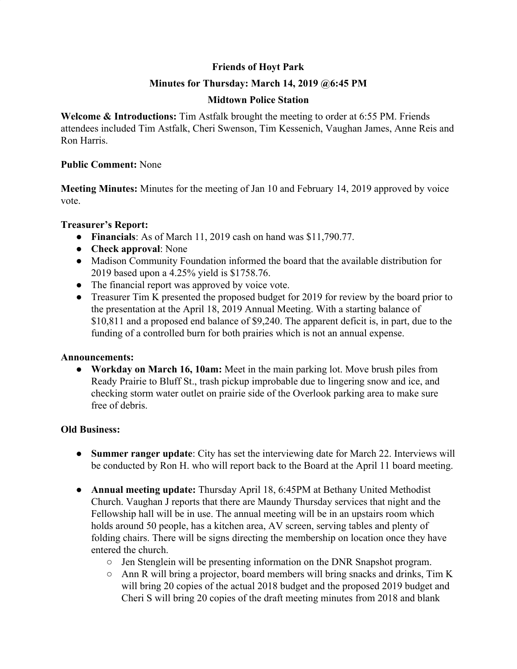# **Friends of Hoyt Park**

## **Minutes for Thursday: March 14, 2019 @6:45 PM**

## **Midtown Police Station**

**Welcome & Introductions:** Tim Astfalk brought the meeting to order at 6:55 PM. Friends attendees included Tim Astfalk, Cheri Swenson, Tim Kessenich, Vaughan James, Anne Reis and Ron Harris.

#### **Public Comment:** None

**Meeting Minutes:** Minutes for the meeting of Jan 10 and February 14, 2019 approved by voice vote.

## **Treasurer's Report:**

- **Financials**: As of March 11, 2019 cash on hand was \$11,790.77.
- **Check approval**: None
- Madison Community Foundation informed the board that the available distribution for 2019 based upon a 4.25% yield is \$1758.76.
- The financial report was approved by voice vote.
- Treasurer Tim K presented the proposed budget for 2019 for review by the board prior to the presentation at the April 18, 2019 Annual Meeting. With a starting balance of \$10,811 and a proposed end balance of \$9,240. The apparent deficit is, in part, due to the funding of a controlled burn for both prairies which is not an annual expense.

## **Announcements:**

**● Workday on March 16, 10am:** Meet in the main parking lot. Move brush piles from Ready Prairie to Bluff St., trash pickup improbable due to lingering snow and ice, and checking storm water outlet on prairie side of the Overlook parking area to make sure free of debris.

## **Old Business:**

- **● Summer ranger update**: City has set the interviewing date for March 22. Interviews will be conducted by Ron H. who will report back to the Board at the April 11 board meeting.
- **● Annual meeting update:** Thursday April 18, 6:45PM at Bethany United Methodist Church. Vaughan J reports that there are Maundy Thursday services that night and the Fellowship hall will be in use. The annual meeting will be in an upstairs room which holds around 50 people, has a kitchen area, AV screen, serving tables and plenty of folding chairs. There will be signs directing the membership on location once they have entered the church.
	- Jen Stenglein will be presenting information on the DNR Snapshot program.
	- Ann R will bring a projector, board members will bring snacks and drinks, Tim K will bring 20 copies of the actual 2018 budget and the proposed 2019 budget and Cheri S will bring 20 copies of the draft meeting minutes from 2018 and blank